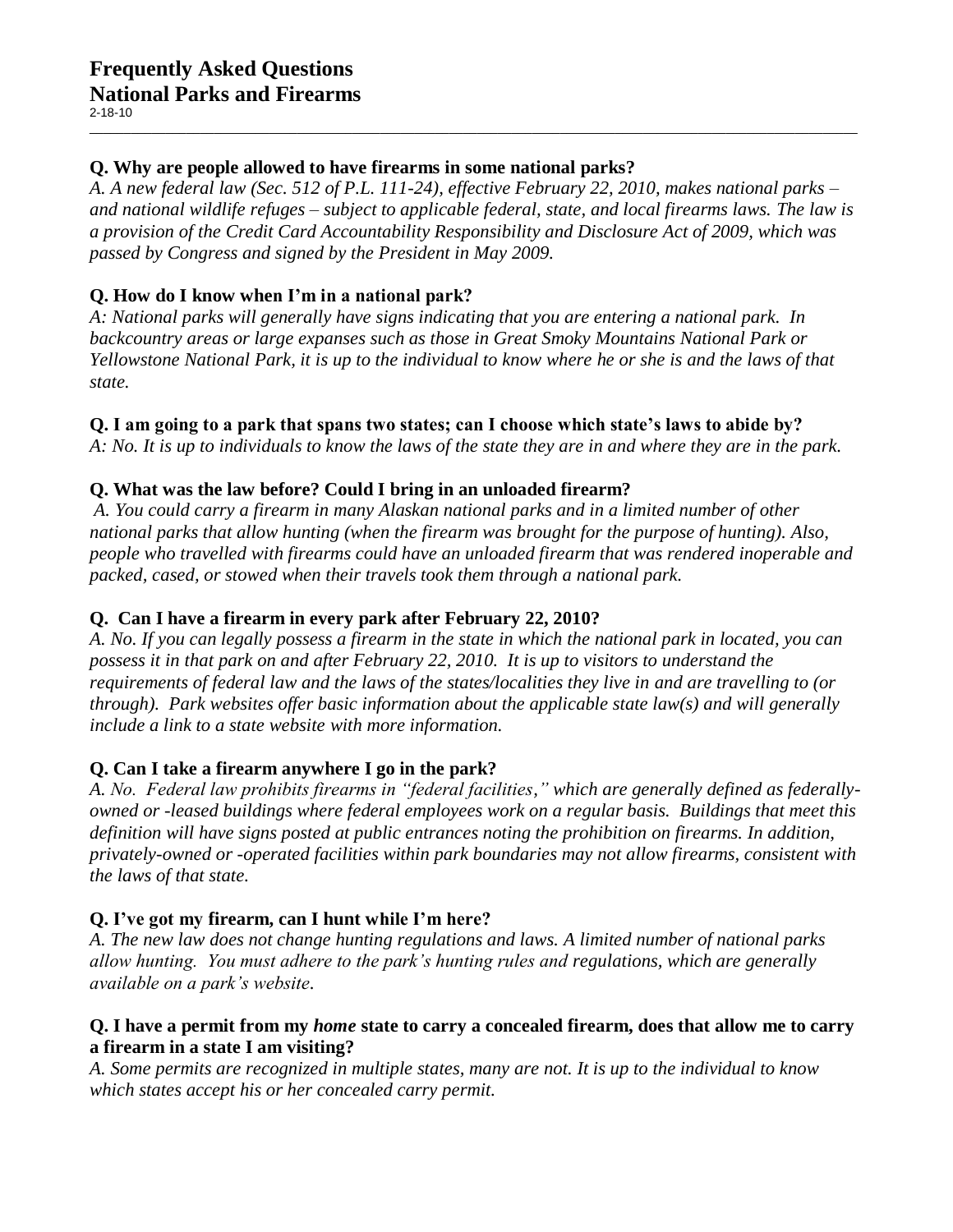# **Q. Why are people allowed to have firearms in some national parks?**

*A. A new federal law (Sec. 512 of P.L. 111-24), effective February 22, 2010, makes national parks – and national wildlife refuges – subject to applicable federal, state, and local firearms laws. The law is a provision of the Credit Card Accountability Responsibility and Disclosure Act of 2009, which was passed by Congress and signed by the President in May 2009.*

 $\_$  , and the set of the set of the set of the set of the set of the set of the set of the set of the set of the set of the set of the set of the set of the set of the set of the set of the set of the set of the set of th

# **Q. How do I know when I'm in a national park?**

*A: National parks will generally have signs indicating that you are entering a national park. In backcountry areas or large expanses such as those in Great Smoky Mountains National Park or Yellowstone National Park, it is up to the individual to know where he or she is and the laws of that state.*

### **Q. I am going to a park that spans two states; can I choose which state's laws to abide by?**

*A: No. It is up to individuals to know the laws of the state they are in and where they are in the park.* 

### **Q. What was the law before? Could I bring in an unloaded firearm?**

*A. You could carry a firearm in many Alaskan national parks and in a limited number of other national parks that allow hunting (when the firearm was brought for the purpose of hunting). Also, people who travelled with firearms could have an unloaded firearm that was rendered inoperable and packed, cased, or stowed when their travels took them through a national park.*

# **Q. Can I have a firearm in every park after February 22, 2010?**

*A. No. If you can legally possess a firearm in the state in which the national park in located, you can possess it in that park on and after February 22, 2010. It is up to visitors to understand the requirements of federal law and the laws of the states/localities they live in and are travelling to (or through). Park websites offer basic information about the applicable state law(s) and will generally include a link to a state website with more information.* 

### **Q. Can I take a firearm anywhere I go in the park?**

*A. No. Federal law prohibits firearms in "federal facilities," which are generally defined as federallyowned or -leased buildings where federal employees work on a regular basis. Buildings that meet this definition will have signs posted at public entrances noting the prohibition on firearms. In addition, privately-owned or -operated facilities within park boundaries may not allow firearms, consistent with the laws of that state.*

### **Q. I've got my firearm, can I hunt while I'm here?**

*A. The new law does not change hunting regulations and laws. A limited number of national parks allow hunting. You must adhere to the park's hunting rules and regulations, which are generally available on a park's website.*

#### **Q. I have a permit from my** *home* **state to carry a concealed firearm, does that allow me to carry a firearm in a state I am visiting?**

*A. Some permits are recognized in multiple states, many are not. It is up to the individual to know which states accept his or her concealed carry permit.*